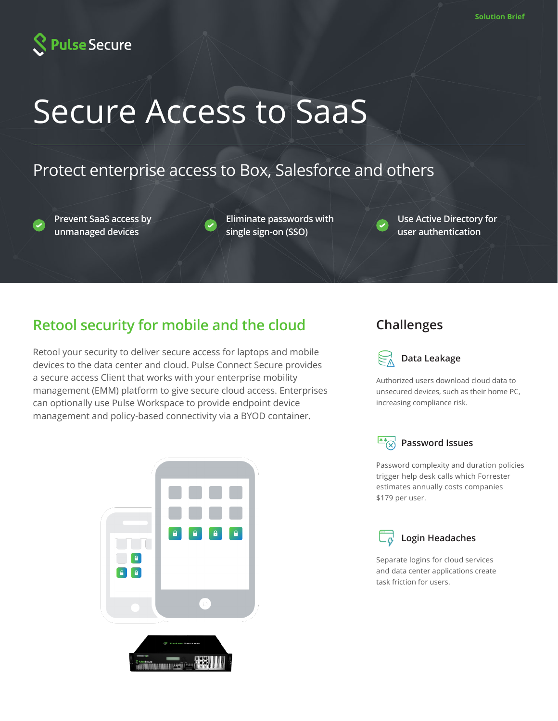

# Secure Access to SaaS

## Protect enterprise access to Box, Salesforce and others

**Prevent SaaS access by unmanaged devices**

**Eliminate passwords with single sign-on (SSO)**

**Use Active Directory for user authentication**

## **Retool security for mobile and the cloud Challenges**

Retool your security to deliver secure access for laptops and mobile devices to the data center and cloud. Pulse Connect Secure provides a secure access Client that works with your enterprise mobility management (EMM) platform to give secure cloud access. Enterprises can optionally use Pulse Workspace to provide endpoint device management and policy-based connectivity via a BYOD container.





**Data Leakage**

Authorized users download cloud data to unsecured devices, such as their home PC, increasing compliance risk.



\$179 per user.

Password complexity and duration policies trigger help desk calls which Forrester estimates annually costs companies



**Login Headaches**

Separate logins for cloud services and data center applications create task friction for users.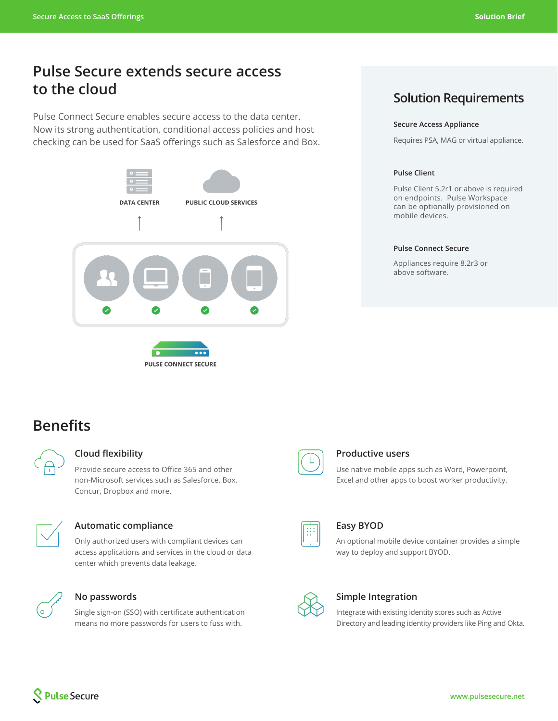## **Pulse Secure extends secure access to the cloud**

Pulse Connect Secure enables secure access to the data center. Now its strong authentication, conditional access policies and host checking can be used for SaaS offerings such as Salesforce and Box.



## **Solution Requirements**

#### **Secure Access Appliance**

Requires PSA, MAG or virtual appliance.

#### **Pulse Client**

Pulse Client 5.2r1 or above is required on endpoints. Pulse Workspace can be optionally provisioned on mobile devices.

#### **Pulse Connect Secure**

Appliances require 8.2r3 or above software.

## **Benefits**



#### **Cloud flexibility**

Provide secure access to Office 365 and other non-Microsoft services such as Salesforce, Box, Concur, Dropbox and more.



#### **Automatic compliance**

Only authorized users with compliant devices can access applications and services in the cloud or data center which prevents data leakage.



#### **No passwords**

Single sign-on (SSO) with certificate authentication means no more passwords for users to fuss with.



### **Productive users**

Use native mobile apps such as Word, Powerpoint, Excel and other apps to boost worker productivity.



#### **Easy BYOD**

An optional mobile device container provides a simple way to deploy and support BYOD.



#### **Simple Integration**

Integrate with existing identity stores such as Active Directory and leading identity providers like Ping and Okta.